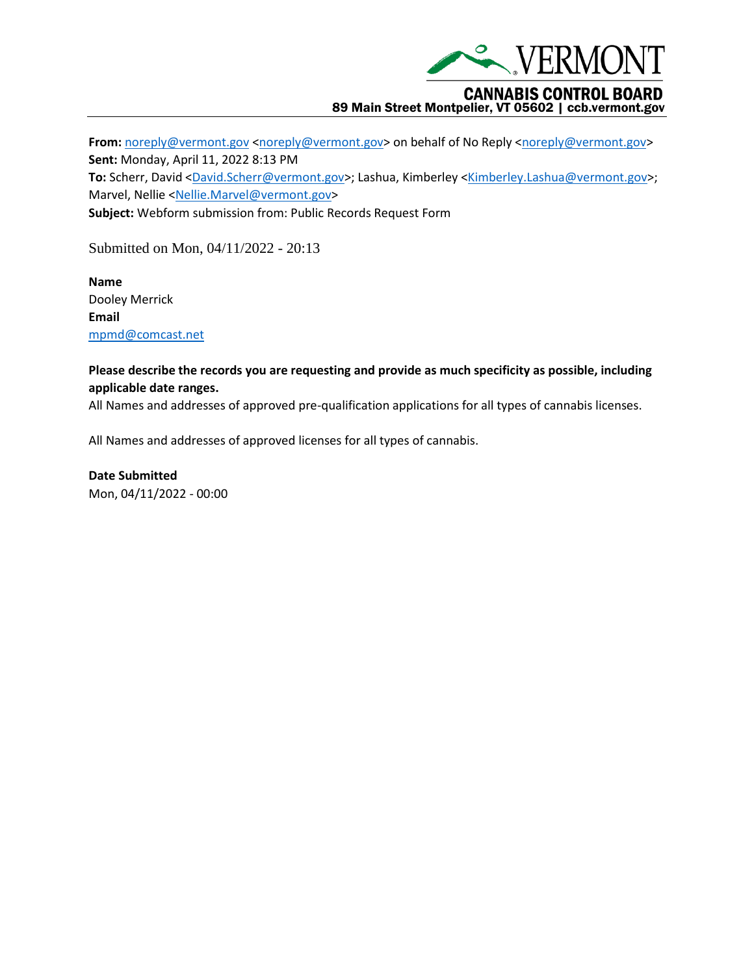

## **CANNABIS CONTROL BOARD** 89 Main Street Montpelier, VT 05602 | ccb.vermont.gov

From: [noreply@vermont.gov](mailto:noreply@vermont.gov) [<noreply@vermont.gov>](mailto:noreply@vermont.gov) on behalf of No Reply <noreply@vermont.gov> **Sent:** Monday, April 11, 2022 8:13 PM **To:** Scherr, David [<David.Scherr@vermont.gov>](mailto:David.Scherr@vermont.gov); Lashua, Kimberley [<Kimberley.Lashua@vermont.gov>](mailto:Kimberley.Lashua@vermont.gov); Marvel, Nellie [<Nellie.Marvel@vermont.gov>](mailto:Nellie.Marvel@vermont.gov) **Subject:** Webform submission from: Public Records Request Form

Submitted on Mon, 04/11/2022 - 20:13

**Name** Dooley Merrick **Email** [mpmd@comcast.net](mailto:mpmd@comcast.net)

## **Please describe the records you are requesting and provide as much specificity as possible, including applicable date ranges.**

All Names and addresses of approved pre-qualification applications for all types of cannabis licenses.

All Names and addresses of approved licenses for all types of cannabis.

**Date Submitted** Mon, 04/11/2022 - 00:00